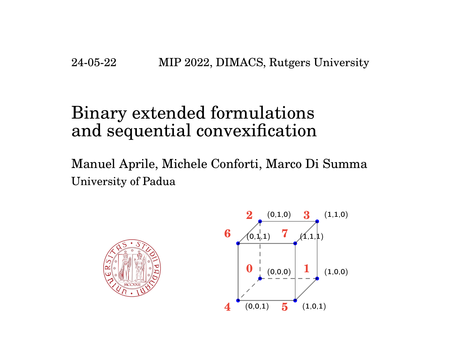### 24-05-22 MIP 2022, DIMACS, Rutgers University

### Binary extended formulations and sequential convexification

Manuel Aprile, Michele Conforti, Marco Di Summa University of Padua



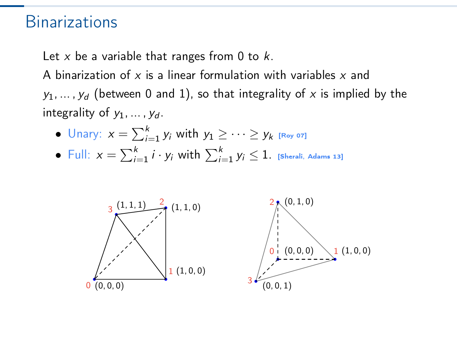### **Binarizations**

Let  $x$  be a variable that ranges from 0 to  $k$ .

A binarization of x is a linear formulation with variables  $x$  and

 $y_1, \ldots, y_d$  (between 0 and 1), so that integrality of x is implied by the integrality of  $v_1, \ldots, v_d$ .

- Unary:  $x = \sum_{i=1}^{k} y_i$  with  $y_1 \geq \cdots \geq y_k$  [Roy 07]
- $\bullet$  Full:  $x = \sum_{i=1}^k i \cdot y_i$  with  $\sum_{i=1}^k y_i \leq 1$ . [Sherali, Adams 13]

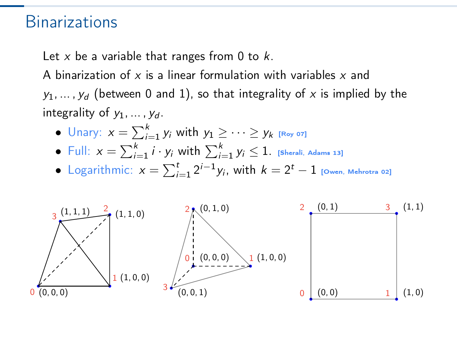### **Binarizations**

Let  $x$  be a variable that ranges from 0 to  $k$ .

A binarization of x is a linear formulation with variables  $x$  and

 $y_1, \ldots, y_d$  (between 0 and 1), so that integrality of x is implied by the integrality of  $v_1, \ldots, v_d$ .

- Unary:  $x = \sum_{i=1}^k y_i$  with  $y_1 \geq \cdots \geq y_k$  [Roy 07]
- $\bullet$  Full:  $x = \sum_{i=1}^k i \cdot y_i$  with  $\sum_{i=1}^k y_i \leq 1$ . [Sherali, Adams 13]
- Logarithmic:  $x = \sum_{i=1}^{t} 2^{i-1} y_i$ , with  $k = 2^t 1$  [Owen, Mehrotra 02]

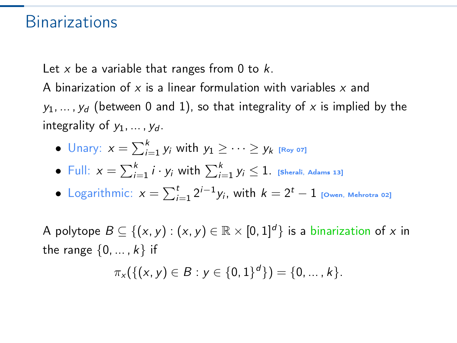### **Binarizations**

Let x be a variable that ranges from 0 to  $k$ .

A binarization of  $x$  is a linear formulation with variables  $x$  and  $y_1, \ldots, y_d$  (between 0 and 1), so that integrality of x is implied by the integrality of  $y_1, \ldots, y_d$ .

- Unary:  $x = \sum_{i=1}^{k} y_i$  with  $y_1 \geq \cdots \geq y_k$  [Roy 07]
- $\bullet$  Full:  $x = \sum_{i=1}^k i \cdot y_i$  with  $\sum_{i=1}^k y_i \leq 1$ . [Sherali, Adams 13]
- Logarithmic:  $x = \sum_{i=1}^{t} 2^{i-1} y_i$ , with  $k = 2^t 1$  [Owen, Mehrotra 02]

A polytope  $B \subseteq \{(x, y) : (x, y) \in \mathbb{R} \times [0, 1]^d\}$  is a binarization of x in the range  $\{0, ..., k\}$  if

$$
\pi_x(\{(x,y)\in B:y\in\{0,1\}^d\})=\{0,\ldots,k\}.
$$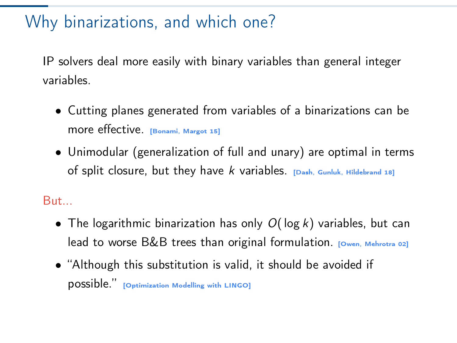# Why binarizations, and which one?

IP solvers deal more easily with binary variables than general integer variables.

- Cutting planes generated from variables of a binarizations can be more effective. [Bonami, Margot 15]
- Unimodular (generalization of full and unary) are optimal in terms of split closure, but they have k variables.  $Dash, Gumbuk, Hildebrand 18]$

### But...

- The logarithmic binarization has only  $O(|\log k)$  variables, but can lead to worse B&B trees than original formulation. **[Owen, Mehrotra 02]**
- "Although this substitution is valid, it should be avoided if possible." [Optimization Modelling with LINGO]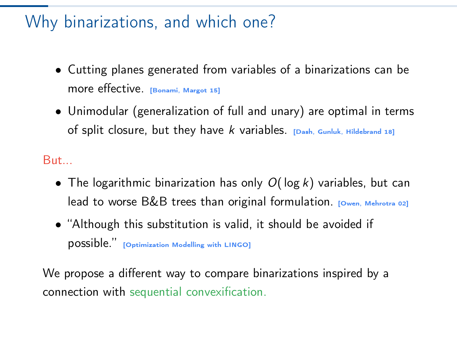# Why binarizations, and which one?

- Cutting planes generated from variables of a binarizations can be more effective. [Bonami, Margot 15]
- Unimodular (generalization of full and unary) are optimal in terms of split closure, but they have k variables.  $Dash, Gumbuk, Hildebrand 18]$

### But...

- The logarithmic binarization has only  $O(|\log k)$  variables, but can lead to worse B&B trees than original formulation. **[Owen, Mehrotra 02]**
- "Although this substitution is valid, it should be avoided if possible." [Optimization Modelling with LINGO]

We propose a different way to compare binarizations inspired by a connection with sequential convexification.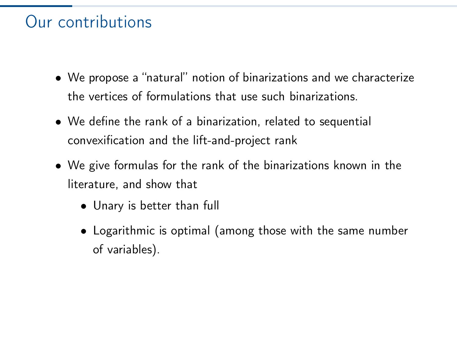## Our contributions

- We propose a "natural" notion of binarizations and we characterize the vertices of formulations that use such binarizations.
- We define the rank of a binarization, related to sequential convexification and the lift-and-project rank
- We give formulas for the rank of the binarizations known in the literature, and show that
	- Unary is better than full
	- Logarithmic is optimal (among those with the same number of variables).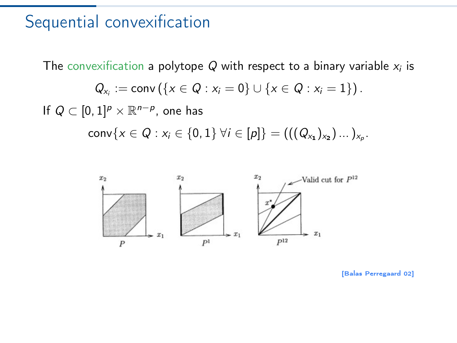### Sequential convexification

The convexification a polytope  $Q$  with respect to a binary variable  $x_i$  is

$$
Q_{x_i} := \text{conv}\left(\{x \in Q : x_i = 0\} \cup \{x \in Q : x_i = 1\}\right).
$$

If  $Q \subset [0,1]^p \times \mathbb{R}^{n-p}$ , one has

conv $\{x \in Q : x_i \in \{0,1\} \ \forall i \in [p]\} = (((Q_{x_1})_{x_2}) \dots)_{x_p}.$ 



[Balas Perregaard 02]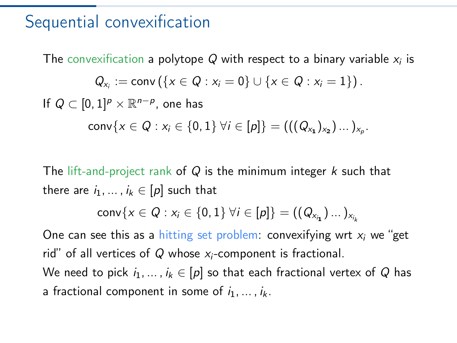### Sequential convexification

The convexification a polytope  $Q$  with respect to a binary variable  $x_i$  is  $Q_{x_i} := \text{conv}(\{x \in Q : x_i = 0\} \cup \{x \in Q : x_i = 1\})$ . If  $Q \subset [0,1]^p \times \mathbb{R}^{n-p}$ , one has conv $\{x \in Q : x_i \in \{0,1\} \ \forall i \in [p]\} = (((Q_{x_1})_{x_2}) \dots)_{x_p}.$ 

The lift-and-project rank of  $Q$  is the minimum integer  $k$  such that there are  $i_1, \ldots, i_k \in [p]$  such that

 $\mathsf{conv}\{ \mathsf{x} \in Q : \mathsf{x}_i \in \{0,1\}~\forall i \in [p] \} = ((Q_{\mathsf{x}_{i_1}}) \dots)_{\mathsf{x}_{i_k}}$ 

One can see this as a hitting set problem: convexifying wrt  $x_i$  we "get rid" of all vertices of  $Q$  whose  $x_i$ -component is fractional. We need to pick  $i_1, ..., i_k \in [p]$  so that each fractional vertex of Q has a fractional component in some of  $i_1, \ldots, i_k$ .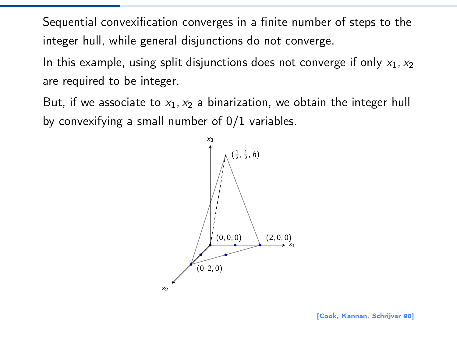Sequential convexification converges in a finite number of steps to the integer hull, while general disjunctions do not converge.

In this example, using split disjunctions does not converge if only  $x_1, x_2$ are required to be integer.

But, if we associate to  $x_1, x_2$  a binarization, we obtain the integer hull by convexifying a small number of 0/1 variables.

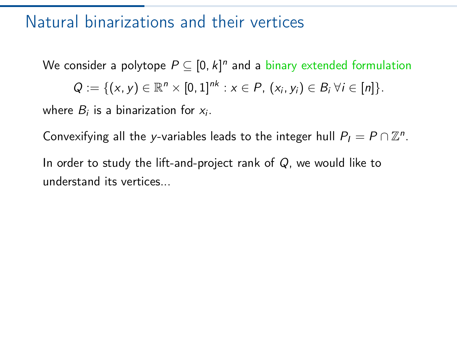### Natural binarizations and their vertices

We consider a polytope  $P \subseteq [0,k]^n$  and a binary extended formulation

$$
Q := \{(x, y) \in \mathbb{R}^n \times [0, 1]^{nk} : x \in P, (x_i, y_i) \in B_i \ \forall i \in [n]\}.
$$

where  $B_i$  is a binarization for  $x_i$ .

Convexifying all the y-variables leads to the integer hull  $P_I = P \cap \mathbb{Z}^n$ .

In order to study the lift-and-project rank of  $Q$ , we would like to understand its vertices...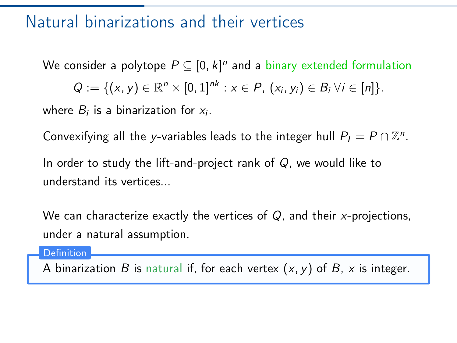### Natural binarizations and their vertices

We consider a polytope  $P \subseteq [0,k]^n$  and a binary extended formulation

$$
Q := \{(x, y) \in \mathbb{R}^n \times [0, 1]^{nk} : x \in P, (x_i, y_i) \in B_i \ \forall i \in [n]\}.
$$

where  $B_i$  is a binarization for  $x_i$ .

Convexifying all the y-variables leads to the integer hull  $P_I = P \cap \mathbb{Z}^n$ .

In order to study the lift-and-project rank of  $Q$ , we would like to understand its vertices...

We can characterize exactly the vertices of  $Q$ , and their x-projections, under a natural assumption.

Definition

A binarization B is natural if, for each vertex  $(x, y)$  of B, x is integer.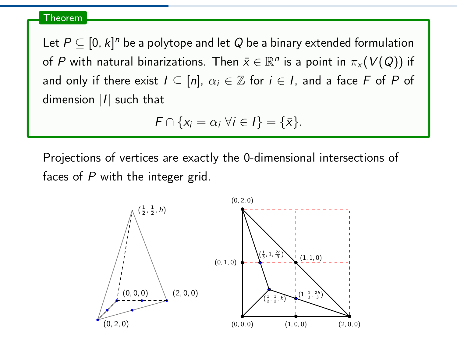### Theorem

Let  $P \subseteq [0, k]^n$  be a polytope and let  $Q$  be a binary extended formulation of  $P$  with natural binarizations. Then  $\bar{x}\in\mathbb{R}^n$  is a point in  $\pi_{{\mathsf{x}}}({\mathsf{V}}(Q))$  if and only if there exist  $I \subseteq [n]$ ,  $\alpha_i \in \mathbb{Z}$  for  $i \in I$ , and a face F of P of dimension | I| such that

$$
F \cap \{x_i = \alpha_i \,\forall i \in I\} = \{\bar{x}\}.
$$

Projections of vertices are exactly the 0-dimensional intersections of faces of P with the integer grid.

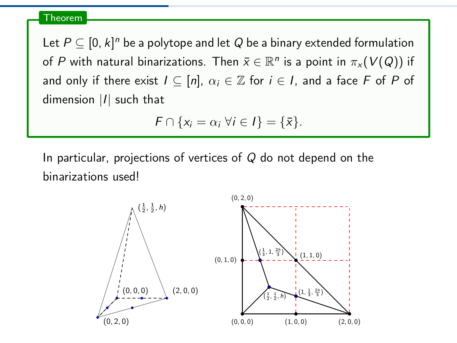### Theorem

Let  $P \subseteq [0, k]^n$  be a polytope and let  $Q$  be a binary extended formulation of  $P$  with natural binarizations. Then  $\bar{x}\in\mathbb{R}^n$  is a point in  $\pi_{{\mathsf{x}}}({\mathsf{V}}(Q))$  if and only if there exist  $I \subseteq [n]$ ,  $\alpha_i \in \mathbb{Z}$  for  $i \in I$ , and a face F of P of dimension | I| such that

$$
F \cap \{x_i = \alpha_i \,\forall i \in I\} = \{\bar{x}\}.
$$

In particular, projections of vertices of  $Q$  do not depend on the binarizations used!

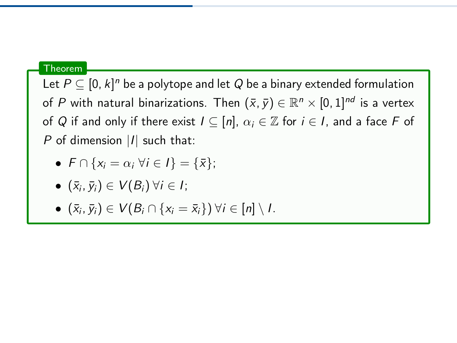#### Theorem

Let  $P \subseteq [0, k]^n$  be a polytope and let  $Q$  be a binary extended formulation of  $P$  with natural binarizations. Then  $(\bar x, \bar y) \in \mathbb{R}^n \times [0, 1]^{nd}$  is a vertex of Q if and only if there exist  $I \subseteq [n]$ ,  $\alpha_i \in \mathbb{Z}$  for  $i \in I$ , and a face F of  $P$  of dimension  $|I|$  such that:

• 
$$
F \cap \{x_i = \alpha_i \,\forall i \in I\} = \{\bar{x}\};
$$

$$
\bullet \ (\bar{x}_i,\bar{y}_i)\in V(B_i)\ \forall i\in I;
$$

• 
$$
(\bar{x}_i, \bar{y}_i) \in V(B_i \cap \{x_i = \bar{x}_i\}) \forall i \in [n] \setminus I.
$$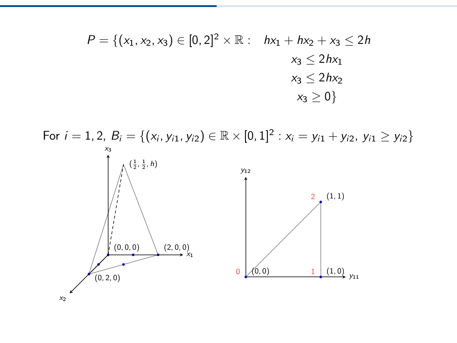$$
P = \{(x_1, x_2, x_3) \in [0, 2]^2 \times \mathbb{R} : hx_1 + hx_2 + x_3 \le 2h
$$
  

$$
x_3 \le 2hx_1
$$
  

$$
x_3 \le 2hx_2
$$
  

$$
x_3 \ge 0\}
$$

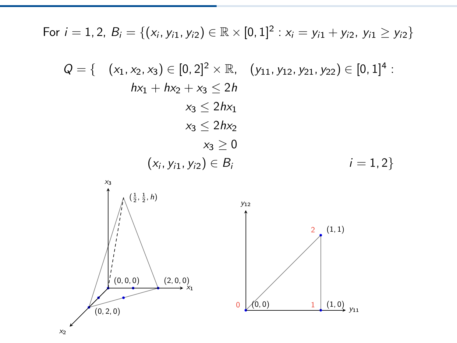For  $i = 1, 2, B_i = \{(x_i, y_{i1}, y_{i2}) \in \mathbb{R} \times [0, 1]^2 : x_i = y_{i1} + y_{i2}, y_{i1} \ge y_{i2}\}$ 

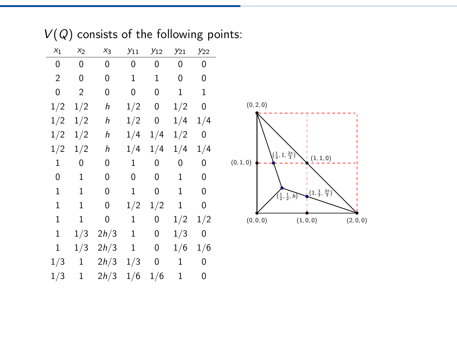$V(Q)$  consists of the following points:

| $x_1$ | $x_2$ | $x_3$ | $y_{11}$ | $y_{12}$ | $y_{21}$    | $y_{22}$ |
|-------|-------|-------|----------|----------|-------------|----------|
| 0     | 0     | 0     | 0        | 0        | 0           | 0        |
| 2     | 0     | 0     | 1        | 1        | 0           | 0        |
| 0     | 2     | 0     | 0        | 0        | 1           | 1        |
| 1/2   | 1/2   | h     | 1/2      | 0        | 1/2         | 0        |
| 1/2   | 1/2   | h     | 1/2      | 0        | 1/4         | 1/4      |
| 1/2   | 1/2   | h     | 1/4      | 1/4      | 1/2         | 0        |
| 1/2   | 1/2   | h     | 1/4      | 1/4      | 1/4         | 1/4      |
| 1     | 0     | 0     | 1        | 0        | 0           | 0        |
| 0     | 1     | 0     | 0        | 0        | 1           | 0        |
| 1     | 1     | 0     | 1        | 0        | 1           | 0        |
| 1     | 1     | 0     | 1/2      | 1/2      | $\mathbf 1$ | 0        |
| 1     | 1     | 0     | 1        | 0        | 1/2         | 1/2      |
| 1     | 1/3   | 2h/3  | 1        | 0        | 1/3         | 0        |
| 1     | 1/3   | 2h/3  | 1        | 0        | 1/6         | 1/6      |
| 1/3   | 1     | 2h/3  | $1/3$    | 0        | 1           | 0        |
| 1/3   | 1     | 2h/3  | 1/6      | 1/6      | 1           | 0        |

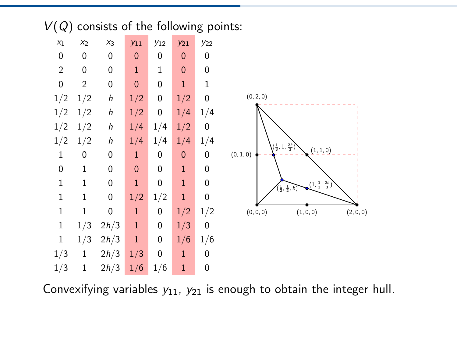$V(Q)$  consists of the following points:



Convexifying variables  $y_{11}$ ,  $y_{21}$  is enough to obtain the integer hull.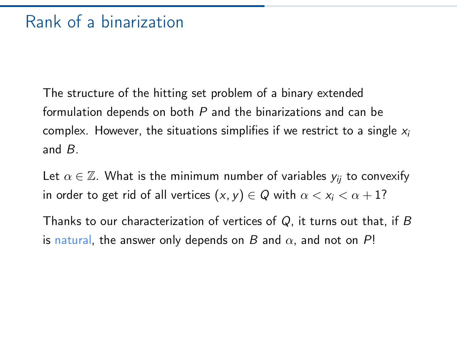The structure of the hitting set problem of a binary extended formulation depends on both  $P$  and the binarizations and can be complex. However, the situations simplifies if we restrict to a single  $x_i$ and B.

Let  $\alpha \in \mathbb{Z}$ . What is the minimum number of variables  $y_{ii}$  to convexify in order to get rid of all vertices  $(x, y) \in Q$  with  $\alpha < x_i < \alpha + 1$ ?

Thanks to our characterization of vertices of  $Q$ , it turns out that, if  $B$ is natural, the answer only depends on B and  $\alpha$ , and not on P!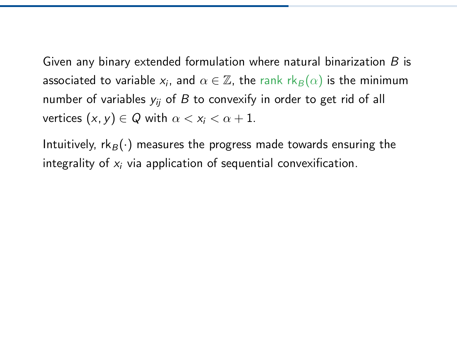Given any binary extended formulation where natural binarization B is associated to variable  $x_i$ , and  $\alpha \in \mathbb{Z}$ , the rank  $\mathsf{rk}_B (\alpha)$  is the minimum number of variables  $y_{ii}$  of B to convexify in order to get rid of all vertices  $(x, y) \in Q$  with  $\alpha < x_i < \alpha + 1$ .

Intuitively,  $rk_B(\cdot)$  measures the progress made towards ensuring the integrality of  $x_i$  via application of sequential convexification.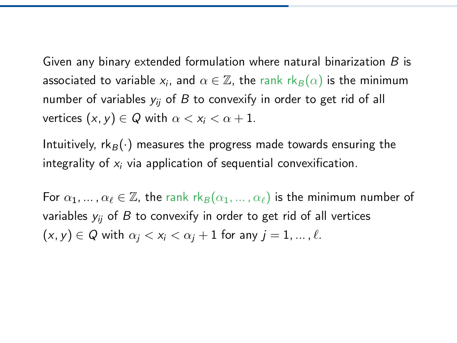Given any binary extended formulation where natural binarization  $B$  is associated to variable  $x_i$ , and  $\alpha \in \mathbb{Z}$ , the rank  $\mathsf{rk}_B (\alpha)$  is the minimum number of variables  $y_{ii}$  of B to convexify in order to get rid of all vertices  $(x, y) \in Q$  with  $\alpha < x_i < \alpha + 1$ .

Intuitively,  $rk_B(\cdot)$  measures the progress made towards ensuring the integrality of  $x_i$  via application of sequential convexification.

For  $\alpha_1, \ldots, \alpha_\ell \in \mathbb{Z}$ , the rank  $rk_B(\alpha_1, \ldots, \alpha_\ell)$  is the minimum number of variables  $y_{ii}$  of B to convexify in order to get rid of all vertices  $(x, y) \in Q$  with  $\alpha_i < x_i < \alpha_i + 1$  for any  $j = 1, \dots, \ell$ .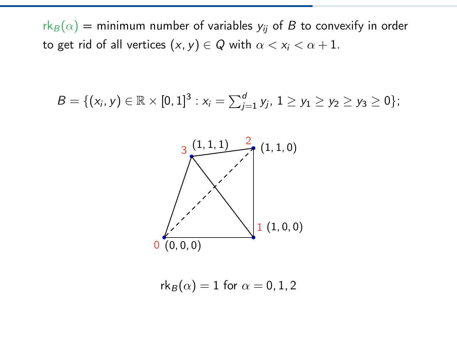$rk_B(\alpha)$  = minimum number of variables  $y_{ij}$  of B to convexify in order to get rid of all vertices  $(x, y) \in Q$  with  $\alpha < x_i < \alpha + 1$ .

$$
B = \{(x_i, y) \in \mathbb{R} \times [0, 1]^3 : x_i = \sum_{j=1}^d y_j, 1 \ge y_1 \ge y_2 \ge y_3 \ge 0\};
$$



$$
\mathsf{rk}_B(\alpha) = 1 \text{ for } \alpha = 0, 1, 2
$$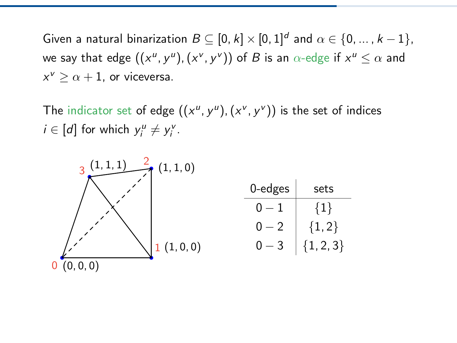Given a natural binarization  $B\subseteq [0,k]\times [0,1]^d$  and  $\alpha\in \{0,\dots,k-1\},$ we say that edge  $((x^u,y^u),(x^v,y^v))$  of  $B$  is an  $\alpha$ -edge if  $x^u\leq \alpha$  and  $x^{\nu} \geq \alpha + 1$ , or viceversa.

The indicator set of edge  $((x^u, y^u), (x^v, y^v))$  is the set of indices  $i \in [d]$  for which  $y_i^u \neq y_i^v$ .

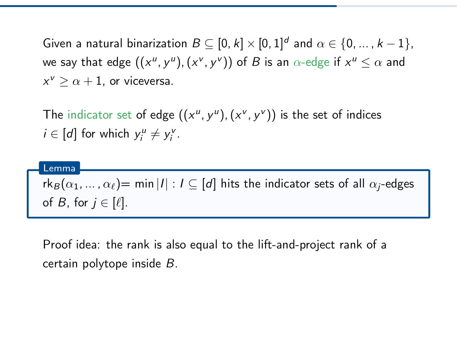Given a natural binarization  $B\subseteq [0,k]\times [0,1]^d$  and  $\alpha\in \{0,\dots,k-1\},$ we say that edge  $((x^u,y^u),(x^v,y^v))$  of  $B$  is an  $\alpha$ -edge if  $x^u\leq \alpha$  and  $x^{\nu} \geq \alpha + 1$ , or viceversa.

The indicator set of edge  $((x^u, y^u), (x^v, y^v))$  is the set of indices  $i \in [d]$  for which  $y_i^u \neq y_i^v$ .

#### Lemma

rk $_{B} (\alpha_1, \ldots, \alpha_\ell)$ = min $|I|: I \subseteq [d]$  hits the indicator sets of all  $\alpha_j$ -edges of *B*, for  $j \in [\ell]$ .

Proof idea: the rank is also equal to the lift-and-project rank of a certain polytope inside B.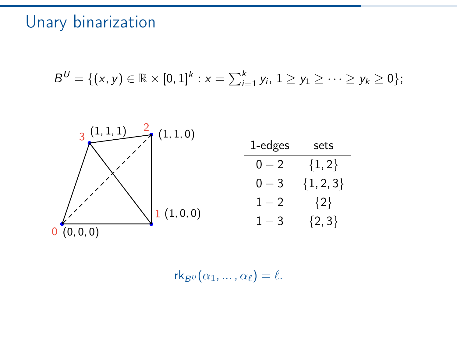## Unary binarization

$$
B^U = \{(x, y) \in \mathbb{R} \times [0, 1]^k : x = \sum_{i=1}^k y_i, 1 \ge y_1 \ge \cdots \ge y_k \ge 0\};
$$



 $rk_{B^U}(\alpha_1, ..., \alpha_\ell) = \ell.$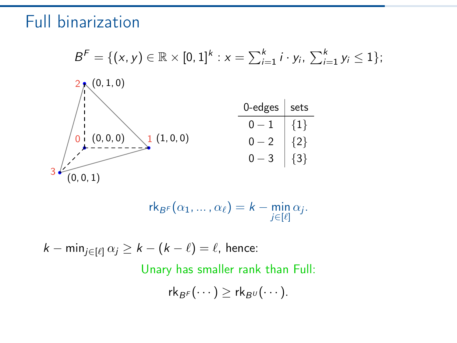Full binarization



$$
\mathsf{rk}_{B^F}(\alpha_1,\ldots,\alpha_\ell)=k-\min_{j\in[\ell]}\alpha_j.
$$

$$
k - \min_{j \in [\ell]} \alpha_j \ge k - (k - \ell) = \ell, \text{ hence:}
$$
  
Unary has smaller rank than Full:  

$$
\text{rk}_{B^F}(\cdots) \ge \text{rk}_{B^U}(\cdots).
$$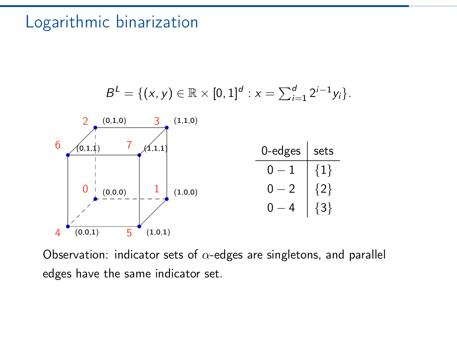$$
B^{L} = \{(x, y) \in \mathbb{R} \times [0, 1]^{d} : x = \sum_{i=1}^{d} 2^{i-1} y_{i} \}.
$$



Observation: indicator sets of  $\alpha$ -edges are singletons, and parallel edges have the same indicator set.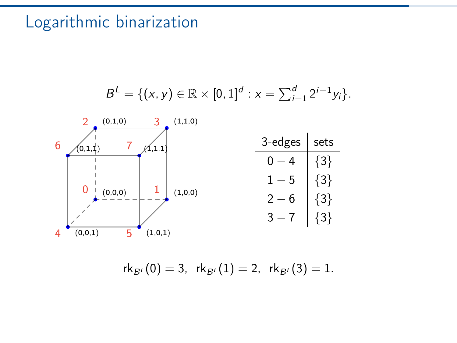$$
B^{L} = \{(x, y) \in \mathbb{R} \times [0, 1]^{d} : x = \sum_{i=1}^{d} 2^{i-1} y_{i} \}.
$$



 $rk_{B^L}(0) = 3$ ,  $rk_{B^L}(1) = 2$ ,  $rk_{B^L}(3) = 1$ .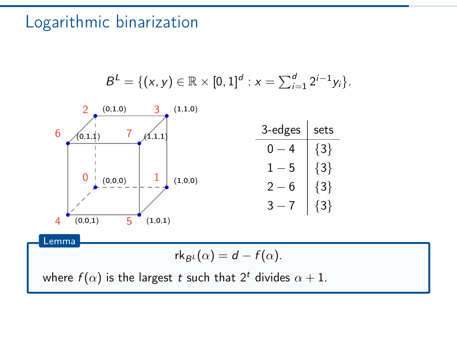

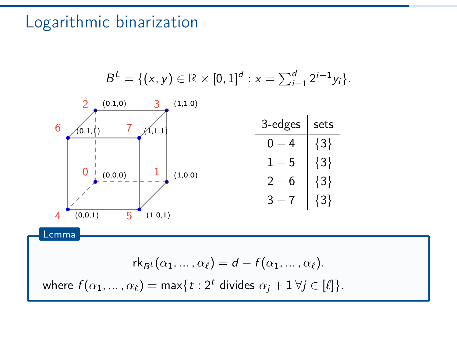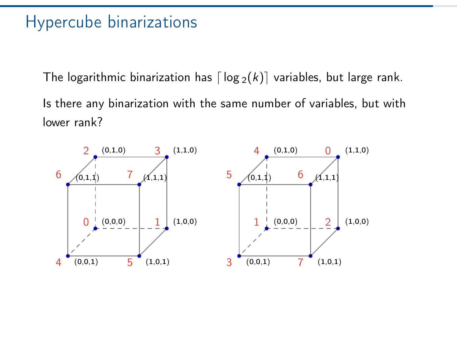### Hypercube binarizations

The logarithmic binarization has  $\lceil \log_2(k) \rceil$  variables, but large rank. Is there any binarization with the same number of variables, but with lower rank?

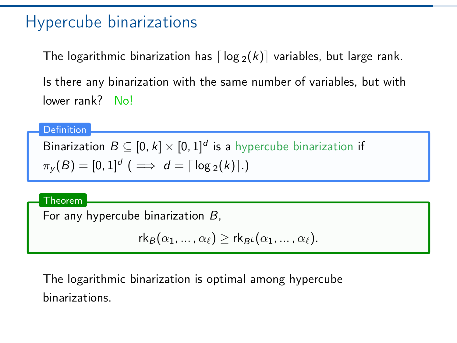## Hypercube binarizations

The logarithmic binarization has  $\lceil \log_2(k) \rceil$  variables, but large rank.

Is there any binarization with the same number of variables, but with lower rank? No!

Definition

Binarization  $B \subseteq [0, k] \times [0, 1]^d$  is a hypercube binarization if  $\pi_{_{\mathcal{Y}}}(B)=[0,1]^d$   $(\implies d= \lceil \,\log_2(k)\rceil.)$ 

Theorem

For any hypercube binarization B,

$$
\mathsf{rk}_B(\alpha_1,\ldots,\alpha_\ell) \geq \mathsf{rk}_{B^L}(\alpha_1,\ldots,\alpha_\ell).
$$

The logarithmic binarization is optimal among hypercube binarizations.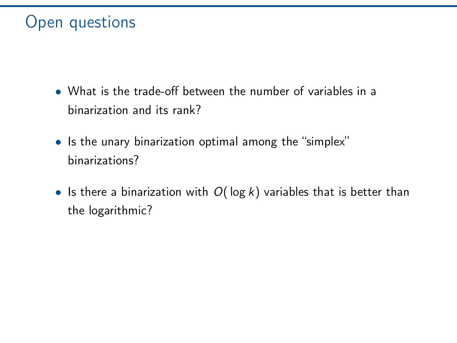### Open questions

- What is the trade-off between the number of variables in a binarization and its rank?
- Is the unary binarization optimal among the "simplex" binarizations?
- Is there a binarization with  $O(\log k)$  variables that is better than the logarithmic?